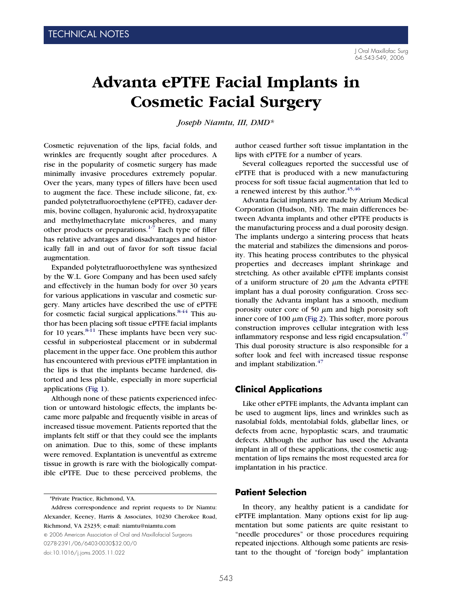# **Advanta ePTFE Facial Implants in Cosmetic Facial Surgery**

*Joseph Niamtu, III, DMD\**

Cosmetic rejuvenation of the lips, facial folds, and wrinkles are frequently sought after procedures. A rise in the popularity of cosmetic surgery has made minimally invasive procedures extremely popular. Over the years, many types of fillers have been used to augment the face. These include silicone, fat, expanded polytetrafluoroethylene (ePTFE), cadaver dermis, bovine collagen, hyaluronic acid, hydroxyapatite and methylmethacrylate microspheres, and many other products or preparations. $1-7$  Each type of filler has relative advantages and disadvantages and historically fall in and out of favor for soft tissue facial augmentation.

Expanded polytetrafluoroethylene was synthesized by the W.L. Gore Company and has been used safely and effectively in the human body for over 30 years for various applications in vascular and cosmetic surgery. Many articles have described the use of ePTFE for cosmetic facial surgical applications. $8-44$  This author has been placing soft tissue ePTFE facial implants for 10 years. $8-11$  These implants have been very successful in subperiosteal placement or in subdermal placement in the upper face. One problem this author has encountered with previous ePTFE implantation in the lips is that the implants became hardened, distorted and less pliable, especially in more superficial applications [\(Fig 1\)](#page-1-0).

Although none of these patients experienced infection or untoward histologic effects, the implants became more palpable and frequently visible in areas of increased tissue movement. Patients reported that the implants felt stiff or that they could see the implants on animation. Due to this, some of these implants were removed. Explantation is uneventful as extreme tissue in growth is rare with the biologically compatible ePTFE. Due to these perceived problems, the

© 2006 American Association of Oral and Maxillofacial Surgeons 0278-2391/06/6403-0030\$32.00/0 doi:10.1016/j.joms.2005.11.022

author ceased further soft tissue implantation in the lips with ePTFE for a number of years.

Several colleagues reported the successful use of ePTFE that is produced with a new manufacturing process for soft tissue facial augmentation that led to a renewed interest by this author.<sup>45,46</sup>

Advanta facial implants are made by Atrium Medical Corporation (Hudson, NH). The main differences between Advanta implants and other ePTFE products is the manufacturing process and a dual porosity design. The implants undergo a sintering process that heats the material and stabilizes the dimensions and porosity. This heating process contributes to the physical properties and decreases implant shrinkage and stretching. As other available ePTFE implants consist of a uniform structure of 20  $\mu$ m the Advanta ePTFE implant has a dual porosity configuration. Cross sectionally the Advanta implant has a smooth, medium porosity outer core of 50  $\mu$ m and high porosity soft inner core of 100  $\mu$ m [\(Fig 2\)](#page-1-0). This softer, more porous construction improves cellular integration with less inflammatory response and less rigid encapsulation.<sup>47</sup> This dual porosity structure is also responsible for a softer look and feel with increased tissue response and implant stabilization.<sup>47</sup>

# **Clinical Applications**

Like other ePTFE implants, the Advanta implant can be used to augment lips, lines and wrinkles such as nasolabial folds, mentolabial folds, glabellar lines, or defects from acne, hypoplastic scars, and traumatic defects. Although the author has used the Advanta implant in all of these applications, the cosmetic augmentation of lips remains the most requested area for implantation in his practice.

### **Patient Selection**

In theory, any healthy patient is a candidate for ePTFE implantation. Many options exist for lip augmentation but some patients are quite resistant to "needle procedures" or those procedures requiring repeated injections. Although some patients are resistant to the thought of "foreign body" implantation

<sup>\*</sup>Private Practice, Richmond, VA.

Address correspondence and reprint requests to Dr Niamtu: Alexander, Keeney, Harris & Associates, 10230 Cherokee Road, Richmond, VA 23235; e-mail: niamtu@niamtu.com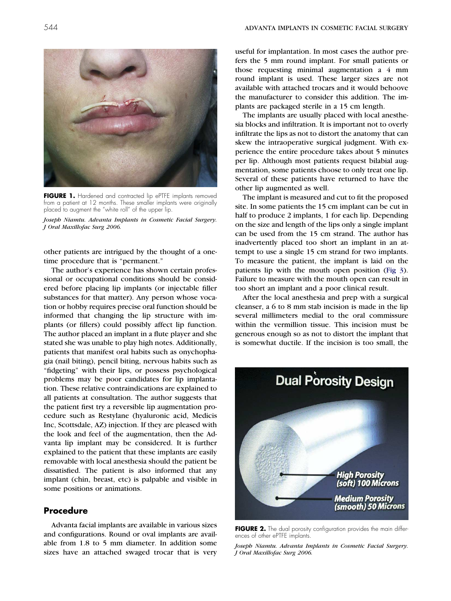<span id="page-1-0"></span>

FIGURE 1. Hardened and contracted lip ePTFE implants removed from a patient at 12 months. These smaller implants were originally placed to augment the "white roll" of the upper lip.

*Joseph Niamtu. Advanta Implants in Cosmetic Facial Surgery. J Oral Maxillofac Surg 2006.*

other patients are intrigued by the thought of a onetime procedure that is "permanent."

The author's experience has shown certain professional or occupational conditions should be considered before placing lip implants (or injectable filler substances for that matter). Any person whose vocation or hobby requires precise oral function should be informed that changing the lip structure with implants (or fillers) could possibly affect lip function. The author placed an implant in a flute player and she stated she was unable to play high notes. Additionally, patients that manifest oral habits such as onychophagia (nail biting), pencil biting, nervous habits such as "fidgeting" with their lips, or possess psychological problems may be poor candidates for lip implantation. These relative contraindications are explained to all patients at consultation. The author suggests that the patient first try a reversible lip augmentation procedure such as Restylane (hyaluronic acid, Medicis Inc, Scottsdale, AZ) injection. If they are pleased with the look and feel of the augmentation, then the Advanta lip implant may be considered. It is further explained to the patient that these implants are easily removable with local anesthesia should the patient be dissatisfied. The patient is also informed that any implant (chin, breast, etc) is palpable and visible in some positions or animations.

#### **Procedure**

Advanta facial implants are available in various sizes and configurations. Round or oval implants are available from 1.8 to 5 mm diameter. In addition some sizes have an attached swaged trocar that is very useful for implantation. In most cases the author prefers the 5 mm round implant. For small patients or those requesting minimal augmentation a 4 mm round implant is used. These larger sizes are not available with attached trocars and it would behoove the manufacturer to consider this addition. The implants are packaged sterile in a 15 cm length.

The implants are usually placed with local anesthesia blocks and infiltration. It is important not to overly infiltrate the lips as not to distort the anatomy that can skew the intraoperative surgical judgment. With experience the entire procedure takes about 5 minutes per lip. Although most patients request bilabial augmentation, some patients choose to only treat one lip. Several of these patients have returned to have the other lip augmented as well.

The implant is measured and cut to fit the proposed site. In some patients the 15 cm implant can be cut in half to produce 2 implants, 1 for each lip. Depending on the size and length of the lips only a single implant can be used from the 15 cm strand. The author has inadvertently placed too short an implant in an attempt to use a single 15 cm strand for two implants. To measure the patient, the implant is laid on the patients lip with the mouth open position [\(Fig 3\)](#page-2-0). Failure to measure with the mouth open can result in too short an implant and a poor clinical result.

After the local anesthesia and prep with a surgical cleanser, a 6 to 8 mm stab incision is made in the lip several millimeters medial to the oral commissure within the vermillion tissue. This incision must be generous enough so as not to distort the implant that is somewhat ductile. If the incision is too small, the



FIGURE 2. The dual porosity configuration provides the main differences of other ePTFE implants.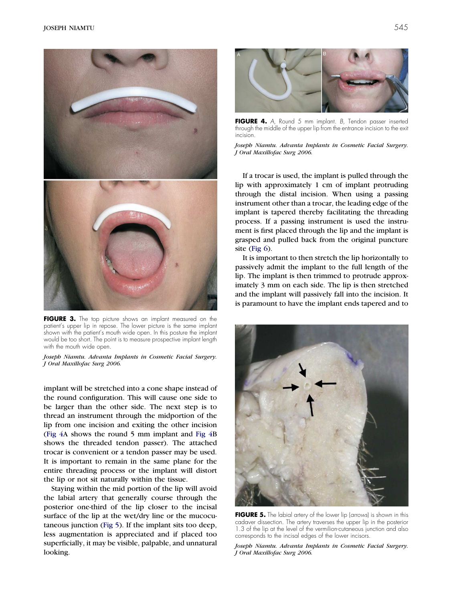<span id="page-2-0"></span>

**FIGURE 3.** The top picture shows an implant measured on the patient's upper lip in repose. The lower picture is the same implant shown with the patient's mouth wide open. In this posture the implant would be too short. The point is to measure prospective implant length with the mouth wide open.

*Joseph Niamtu. Advanta Implants in Cosmetic Facial Surgery. J Oral Maxillofac Surg 2006.*

implant will be stretched into a cone shape instead of the round configuration. This will cause one side to be larger than the other side. The next step is to thread an instrument through the midportion of the lip from one incision and exiting the other incision (Fig 4A shows the round 5 mm implant and Fig 4B shows the threaded tendon passer). The attached trocar is convenient or a tendon passer may be used. It is important to remain in the same plane for the entire threading process or the implant will distort the lip or not sit naturally within the tissue.

Staying within the mid portion of the lip will avoid the labial artery that generally course through the posterior one-third of the lip closer to the incisal surface of the lip at the wet/dry line or the mucocutaneous junction (Fig 5). If the implant sits too deep, less augmentation is appreciated and if placed too superficially, it may be visible, palpable, and unnatural looking.



**FIGURE 4.** *A,* Round 5 mm implant. *B,* Tendon passer inserted through the middle of the upper lip from the entrance incision to the exit incision.

*Joseph Niamtu. Advanta Implants in Cosmetic Facial Surgery. J Oral Maxillofac Surg 2006.*

If a trocar is used, the implant is pulled through the lip with approximately 1 cm of implant protruding through the distal incision. When using a passing instrument other than a trocar, the leading edge of the implant is tapered thereby facilitating the threading process. If a passing instrument is used the instrument is first placed through the lip and the implant is grasped and pulled back from the original puncture site (Fig  $6$ ).

It is important to then stretch the lip horizontally to passively admit the implant to the full length of the lip. The implant is then trimmed to protrude approximately 3 mm on each side. The lip is then stretched and the implant will passively fall into the incision. It is paramount to have the implant ends tapered and to



**FIGURE 5.** The labial artery of the lower lip (*arrows*) is shown in this cadaver dissection. The artery traverses the upper lip in the posterior 1.3 of the lip at the level of the vermilion-cutaneous junction and also corresponds to the incisal edges of the lower incisors.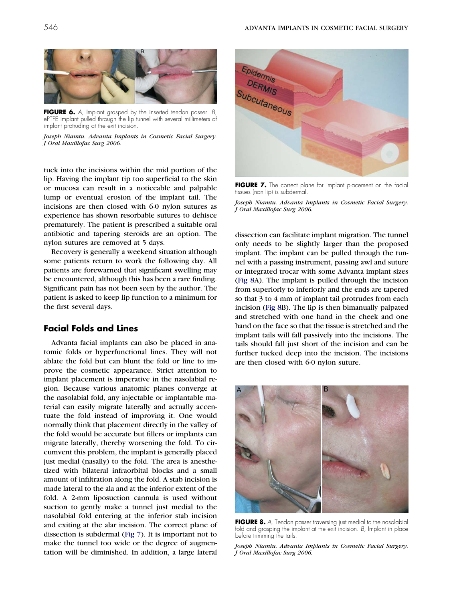<span id="page-3-0"></span>

**FIGURE 6.** *A,* Implant grasped by the inserted tendon passer. *B,* ePTFE implant pulled through the lip tunnel with several millimeters of implant protruding at the exit incision.

*Joseph Niamtu. Advanta Implants in Cosmetic Facial Surgery. J Oral Maxillofac Surg 2006.*

tuck into the incisions within the mid portion of the lip. Having the implant tip too superficial to the skin or mucosa can result in a noticeable and palpable lump or eventual erosion of the implant tail. The incisions are then closed with 6-0 nylon sutures as experience has shown resorbable sutures to dehisce prematurely. The patient is prescribed a suitable oral antibiotic and tapering steroids are an option. The nylon sutures are removed at 5 days.

Recovery is generally a weekend situation although some patients return to work the following day. All patients are forewarned that significant swelling may be encountered, although this has been a rare finding. Significant pain has not been seen by the author. The patient is asked to keep lip function to a minimum for the first several days.

## **Facial Folds and Lines**

Advanta facial implants can also be placed in anatomic folds or hyperfunctional lines. They will not ablate the fold but can blunt the fold or line to improve the cosmetic appearance. Strict attention to implant placement is imperative in the nasolabial region. Because various anatomic planes converge at the nasolabial fold, any injectable or implantable material can easily migrate laterally and actually accentuate the fold instead of improving it. One would normally think that placement directly in the valley of the fold would be accurate but fillers or implants can migrate laterally, thereby worsening the fold. To circumvent this problem, the implant is generally placed just medial (nasally) to the fold. The area is anesthetized with bilateral infraorbital blocks and a small amount of infiltration along the fold. A stab incision is made lateral to the ala and at the inferior extent of the fold. A 2-mm liposuction cannula is used without suction to gently make a tunnel just medial to the nasolabial fold entering at the inferior stab incision and exiting at the alar incision. The correct plane of dissection is subdermal (Fig 7). It is important not to make the tunnel too wide or the degree of augmentation will be diminished. In addition, a large lateral



FIGURE 7. The correct plane for implant placement on the facial tissues (non lip) is subdermal.

*Joseph Niamtu. Advanta Implants in Cosmetic Facial Surgery. J Oral Maxillofac Surg 2006.*

dissection can facilitate implant migration. The tunnel only needs to be slightly larger than the proposed implant. The implant can be pulled through the tunnel with a passing instrument, passing awl and suture or integrated trocar with some Advanta implant sizes (Fig 8A). The implant is pulled through the incision from superiorly to inferiorly and the ends are tapered so that 3 to 4 mm of implant tail protrudes from each incision (Fig 8B). The lip is then bimanually palpated and stretched with one hand in the cheek and one hand on the face so that the tissue is stretched and the implant tails will fall passively into the incisions. The tails should fall just short of the incision and can be further tucked deep into the incision. The incisions are then closed with 6-0 nylon suture.



**FIGURE 8.** *A,* Tendon passer traversing just medial to the nasolabial fold and grasping the implant at the exit incision. *B,* Implant in place before trimming the tails.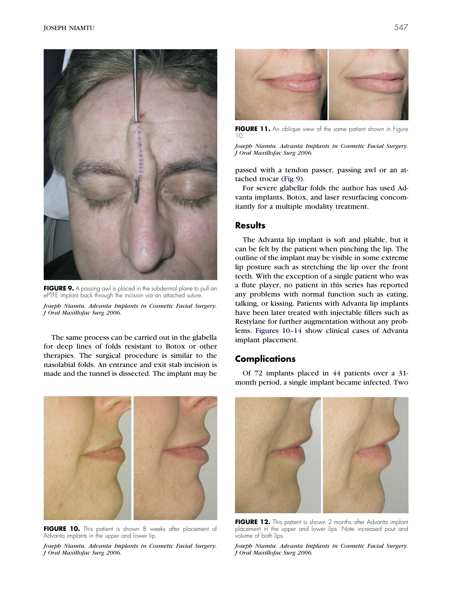<span id="page-4-0"></span>

**FIGURE 9.** A passing awl is placed in the subdermal plane to pull an ePTFE implant back through the incision via an attached suture. *Joseph Niamtu. Advanta Implants in Cosmetic Facial Surgery. J Oral Maxillofac Surg 2006.*

The same process can be carried out in the glabella for deep lines of folds resistant to Botox or other therapies. The surgical procedure is similar to the nasolabial folds. An entrance and exit stab incision is made and the tunnel is dissected. The implant may be



FIGURE 10. This patient is shown 8 weeks after placement of Advanta implants in the upper and lower lip.

*Joseph Niamtu. Advanta Implants in Cosmetic Facial Surgery. J Oral Maxillofac Surg 2006.*



FIGURE 11. An oblique view of the same patient shown in Figure 10.

*Joseph Niamtu. Advanta Implants in Cosmetic Facial Surgery. J Oral Maxillofac Surg 2006.*

passed with a tendon passer, passing awl or an attached trocar (Fig 9).

For severe glabellar folds the author has used Advanta implants, Botox, and laser resurfacing concomitantly for a multiple modality treatment.

#### **Results**

The Advanta lip implant is soft and pliable, but it can be felt by the patient when pinching the lip. The outline of the implant may be visible in some extreme lip posture such as stretching the lip over the front teeth. With the exception of a single patient who was a flute player, no patient in this series has reported any problems with normal function such as eating, talking, or kissing. Patients with Advanta lip implants have been later treated with injectable fillers such as Restylane for further augmentation without any problems. Figures 10[–14](#page-5-0) show clinical cases of Advanta implant placement.

#### **Complications**

Of 72 implants placed in 44 patients over a 31 month period, a single implant became infected. Two



**FIGURE 12.** This patient is shown 2 months after Advanta implant placement in the upper and lower lips. Note increased pout and volume of both lips.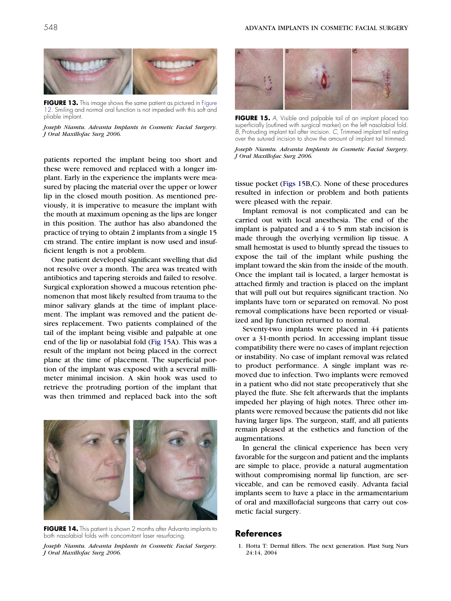<span id="page-5-0"></span>

**FIGURE 13.** This image shows the same patient as pictured in [Figure](#page-4-0) [12.](#page-4-0) Smiling and normal oral function is not impeded with this soft and pliable implant.

*Joseph Niamtu. Advanta Implants in Cosmetic Facial Surgery. J Oral Maxillofac Surg 2006.*

patients reported the implant being too short and these were removed and replaced with a longer implant. Early in the experience the implants were measured by placing the material over the upper or lower lip in the closed mouth position. As mentioned previously, it is imperative to measure the implant with the mouth at maximum opening as the lips are longer in this position. The author has also abandoned the practice of trying to obtain 2 implants from a single 15 cm strand. The entire implant is now used and insufficient length is not a problem.

One patient developed significant swelling that did not resolve over a month. The area was treated with antibiotics and tapering steroids and failed to resolve. Surgical exploration showed a mucous retention phenomenon that most likely resulted from trauma to the minor salivary glands at the time of implant placement. The implant was removed and the patient desires replacement. Two patients complained of the tail of the implant being visible and palpable at one end of the lip or nasolabial fold (Fig 15A). This was a result of the implant not being placed in the correct plane at the time of placement. The superficial portion of the implant was exposed with a several millimeter minimal incision. A skin hook was used to retrieve the protruding portion of the implant that was then trimmed and replaced back into the soft



**FIGURE 14.** This patient is shown 2 months after Advanta implants to both nasolabial folds with concomitant laser resurfacing.

*Joseph Niamtu. Advanta Implants in Cosmetic Facial Surgery. J Oral Maxillofac Surg 2006.*



**FIGURE 15.** *A,* Visible and palpable tail of an implant placed too superficially (outlined with surgical marker) on the left nasolabial fold. *B,* Protruding implant tail after incision. *C,* Trimmed implant tail resting over the sutured incision to show the amount of implant tail trimmed.

*Joseph Niamtu. Advanta Implants in Cosmetic Facial Surgery. J Oral Maxillofac Surg 2006.*

tissue pocket (Figs 15B,C). None of these procedures resulted in infection or problem and both patients were pleased with the repair.

Implant removal is not complicated and can be carried out with local anesthesia. The end of the implant is palpated and a 4 to 5 mm stab incision is made through the overlying vermilion lip tissue. A small hemostat is used to bluntly spread the tissues to expose the tail of the implant while pushing the implant toward the skin from the inside of the mouth. Once the implant tail is located, a larger hemostat is attached firmly and traction is placed on the implant that will pull out but requires significant traction. No implants have torn or separated on removal. No post removal complications have been reported or visualized and lip function returned to normal.

Seventy-two implants were placed in 44 patients over a 31-month period. In accessing implant tissue compatibility there were no cases of implant rejection or instability. No case of implant removal was related to product performance. A single implant was removed due to infection. Two implants were removed in a patient who did not state preoperatively that she played the flute. She felt afterwards that the implants impeded her playing of high notes. Three other implants were removed because the patients did not like having larger lips. The surgeon, staff, and all patients remain pleased at the esthetics and function of the augmentations.

In general the clinical experience has been very favorable for the surgeon and patient and the implants are simple to place, provide a natural augmentation without compromising normal lip function, are serviceable, and can be removed easily. Advanta facial implants seem to have a place in the armamentarium of oral and maxillofacial surgeons that carry out cosmetic facial surgery.

#### **References**

1. Hotta T: Dermal fillers. The next generation. Plast Surg Nurs 24:14, 2004